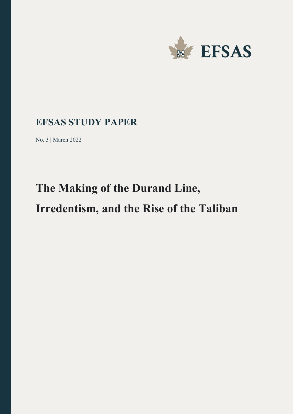

# **EFSAS STUDY PAPER**

No. 3 | March 2022

# **The Making of the Durand Line, Irredentism, and the Rise of the Taliban**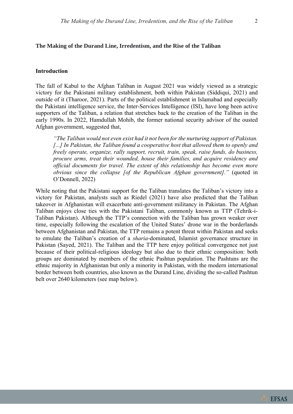# **The Making of the Durand Line, Irredentism, and the Rise of the Taliban**

## **Introduction**

The fall of Kabul to the Afghan Taliban in August 2021 was widely viewed as a strategic victory for the Pakistani military establishment, both within Pakistan (Siddiqui, 2021) and outside of it (Tharoor, 2021). Parts of the political establishment in Islamabad and especially the Pakistani intelligence service, the Inter-Services Intelligence (ISI), have long been active supporters of the Taliban, a relation that stretches back to the creation of the Taliban in the early 1990s. In 2022, Hamdullah Mohib, the former national security advisor of the ousted Afghan government, suggested that,

*"The Taliban would not even exist had it not been for the nurturing support of Pakistan. [...] In Pakistan, the Taliban found a cooperative host that allowed them to openly and freely operate, organize, rally support, recruit, train, speak, raise funds, do business, procure arms, treat their wounded, house their families, and acquire residency and official documents for travel. The extent of this relationship has become even more obvious since the collapse [of the Republican Afghan government]."* (quoted in O'Donnell, 2022)

While noting that the Pakistani support for the Taliban translates the Taliban's victory into a victory for Pakistan, analysts such as Riedel (2021) have also predicted that the Taliban takeover in Afghanistan will exacerbate anti-government militancy in Pakistan. The Afghan Taliban enjoys close ties with the Pakistani Taliban, commonly known as TTP (Tehrik-i-Taliban Pakistan). Although the TTP's connection with the Taliban has grown weaker over time, especially following the escalation of the United States' drone war in the borderlands between Afghanistan and Pakistan, the TTP remains a potent threat within Pakistan and seeks to emulate the Taliban's creation of a *sharia*-dominated, Islamist governance structure in Pakistan (Sayed, 2021). The Taliban and the TTP here enjoy political convergence not just because of their political-religious ideology but also due to their ethnic composition: both groups are dominated by members of the ethnic Pashtun population. The Pashtuns are the ethnic majority in Afghanistan but only a minority in Pakistan, with the modern international border between both countries, also known as the Durand Line, dividing the so-called Pashtun belt over 2640 kilometers (see map below).

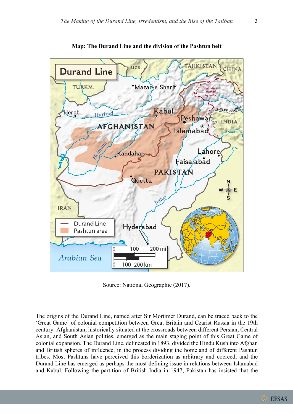

**Map: The Durand Line and the division of the Pashtun belt**

Source: National Geographic (2017).

The origins of the Durand Line, named after Sir Mortimer Durand, can be traced back to the 'Great Game' of colonial competition between Great Britain and Czarist Russia in the 19th century. Afghanistan, historically situated at the crossroads between different Persian, Central Asian, and South Asian polities, emerged as the main staging point of this Great Game of colonial expansion. The Durand Line, delineated in 1893, divided the Hindu Kush into Afghan and British spheres of influence, in the process dividing the homeland of different Pashtun tribes. Most Pashtuns have perceived this borderization as arbitrary and coerced, and the Durand Line has emerged as perhaps the most defining issue in relations between Islamabad and Kabul. Following the partition of British India in 1947, Pakistan has insisted that the

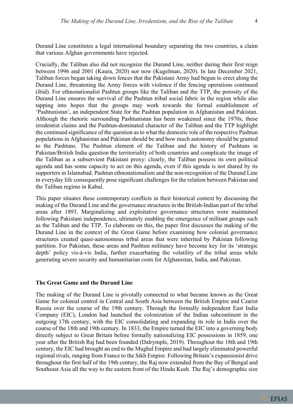Durand Line constitutes a legal international boundary separating the two countries, a claim that various Afghan governments have rejected.

Crucially, the Taliban also did not recognize the Durand Line, neither during their first reign between 1996 and 2001 (Kaura, 2020) nor now (Kugelman, 2020). In late December 2021, Taliban forces began taking down fences that the Pakistani Army had begun to erect along the Durand Line, threatening the Army forces with violence if the fencing operations continued (ibid). For ethnonationalist Pashtun groups like the Taliban and the TTP, the porosity of the Durand Line ensures the survival of the Pashtun tribal social fabric in the region while also tapping into hopes that the groups may work towards the formal establishment of 'Pashtunistan', an independent State for the Pashtun population in Afghanistan and Pakistan. Although the rhetoric surrounding Pashtunistan has been weakened since the 1970s, these irredentist claims and the Pashtun-dominated character of the Taliban and the TTP highlight the continued significance of the question as to what the domestic role of the respective Pashtun populations in Afghanistan and Pakistan should be and how much autonomy should be granted to the Pashtuns. The Pashtun element of the Taliban and the history of Pashtuns in Pakistan/British India question the territoriality of both countries and complicate the image of the Taliban as a subservient Pakistani proxy: clearly, the Taliban possess its own political agenda and has some capacity to act on this agenda, even if this agenda is not shared by its supporters in Islamabad. Pashtun ethnonationalism and the non-recognition of the Durand Line in everyday life consequently pose significant challenges for the relation between Pakistan and the Taliban regime in Kabul.

This paper situates these contemporary conflicts in their historical context by discussing the making of the Durand Line and the governance structures in the British-Indian part of the tribal areas after 1893. Marginalizing and exploitative governance structures were maintained following Pakistani independence, ultimately enabling the emergence of militant groups such as the Taliban and the TTP. To elaborate on this, the paper first discusses the making of the Durand Line in the context of the Great Game before examining how colonial governance structures created quasi-autonomous tribal areas that were inherited by Pakistan following partition. For Pakistan, these areas and Pashtun militancy have become key for its 'strategic depth' policy vis-à-vis India, further exacerbating the volatility of the tribal areas while generating severe security and humanitarian costs for Afghanistan, India, and Pakistan.

## **The Great Game and the Durand Line**

The making of the Durand Line is pivotally connected to what became known as the Great Game for colonial control in Central and South Asia between the British Empire and Czarist Russia over the course of the 19th century. Through the formally independent East India Company (EIC), London had launched the colonization of the Indian subcontinent in the outgoing 17th century, with the EIC consolidating and expanding its role in India over the course of the 18th and 19th century. In 1833, the Empire turned the EIC into a governing body directly subject to Great Britain before formally nationalizing EIC possessions in 1859, one year after the British Raj had been founded (Dalrymple, 2019). Throughout the 18th and 19th century, the EIC had brought an end to the Mughal Empire and had largely eliminated powerful regional rivals, ranging from France to the Sikh Empire. Following Britain's expansionist drive throughout the first half of the 19th century, the Raj now extended from the Bay of Bengal and Southeast Asia all the way to the eastern front of the Hindu Kush. The Raj's demographic size



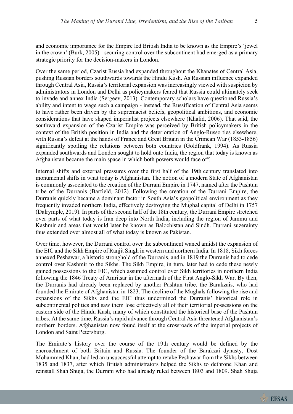and economic importance for the Empire led British India to be known as the Empire's 'jewel in the crown' (Burk, 2005) - securing control over the subcontinent had emerged as a primary strategic priority for the decision-makers in London.

Over the same period, Czarist Russia had expanded throughout the Khanates of Central Asia, pushing Russian borders southwards towards the Hindu Kush. As Russian influence expanded through Central Asia, Russia's territorial expansion was increasingly viewed with suspicion by administrators in London and Delhi as policymakers feared that Russia could ultimately seek to invade and annex India (Sergeev, 2013). Contemporary scholars have questioned Russia's ability and intent to wage such a campaign - instead, the Russification of Central Asia seems to have rather been driven by the supremacist beliefs, geopolitical ambitions, and economic considerations that have shaped imperialist projects elsewhere (Khalid, 2006). That said, the southward expansion of the Czarist Empire was perceived by British policymakers in the context of the British position in India and the deterioration of Anglo-Russo ties elsewhere, with Russia's defeat at the hands of France and Great Britain in the Crimean War (1853-1856) significantly spoiling the relations between both countries (Goldfrank, 1994). As Russia expanded southwards and London sought to hold onto India, the region that today is known as Afghanistan became the main space in which both powers would face off.

Internal shifts and external pressures over the first half of the 19th century translated into monumental shifts in what today is Afghanistan. The notion of a modern State of Afghanistan is commonly associated to the creation of the Durrani Empire in 1747, named after the Pashtun tribe of the Durranis (Barfield, 2012). Following the creation of the Durrani Empire, the Durranis quickly became a dominant factor in South Asia's geopolitical environment as they frequently invaded northern India, effectively destroying the Mughal capital of Delhi in 1757 (Dalrymple, 2019). In parts of the second half of the 18th century, the Durrani Empire stretched over parts of what today is Iran deep into North India, including the region of Jammu and Kashmir and areas that would later be known as Balochistan and Sindh. Durrani suzerainty thus extended over almost all of what today is known as Pakistan.

Over time, however, the Durrani control over the subcontinent waned amidst the expansion of the EIC and the Sikh Empire of Ranjit Singh in western and northern India. In 1818, Sikh forces annexed Peshawar, a historic stronghold of the Durranis, and in 1819 the Durranis had to cede control over Kashmir to the Sikhs. The Sikh Empire, in turn, later had to cede these newly gained possessions to the EIC, which assumed control over Sikh territories in northern India following the 1846 Treaty of Amritsar in the aftermath of the First Anglo-Sikh War. By then, the Durranis had already been replaced by another Pashtun tribe, the Barakzais, who had founded the Emirate of Afghanistan in 1823. The decline of the Mughals following the rise and expansions of the Sikhs and the EIC thus undermined the Durranis' historical role in subcontinental politics and saw them lose effectively all of their territorial possessions on the eastern side of the Hindu Kush, many of which constituted the historical base of the Pashtun tribes. At the same time, Russia's rapid advance through Central Asia threatened Afghanistan's northern borders. Afghanistan now found itself at the crossroads of the imperial projects of London and Saint Petersburg.

The Emirate's history over the course of the 19th century would be defined by the encroachment of both Britain and Russia. The founder of the Barakzai dynasty, Dost Mohammed Khan, had led an unsuccessful attempt to retake Peshawar from the Sikhs between 1835 and 1837, after which British administrators helped the Sikhs to dethrone Khan and reinstall Shah Shuja, the Durrani who had already ruled between 1803 and 1809. Shah Shuja

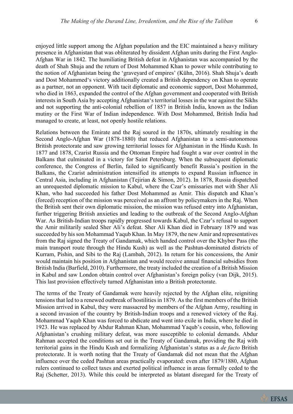enjoyed little support among the Afghan population and the EIC maintained a heavy military presence in Afghanistan that was obliterated by dissident Afghan units during the First Anglo-Afghan War in 1842. The humiliating British defeat in Afghanistan was accompanied by the death of Shah Shuja and the return of Dost Mohammed Khan to power while contributing to the notion of Afghanistan being the 'graveyard of empires' (Kühn, 2016). Shah Shuja's death and Dost Mohammed's victory additionally created a British dependency on Khan to operate as a partner, not an opponent. With tacit diplomatic and economic support, Dost Mohammed, who died in 1863, expanded the control of the Afghan government and cooperated with British interests in South Asia by accepting Afghanistan's territorial losses in the war against the Sikhs and not supporting the anti-colonial rebellion of 1857 in British India, known as the Indian mutiny or the First War of Indian independence. With Dost Mohammed, British India had managed to create, at least, not openly hostile relations.

Relations between the Emirate and the Raj soured in the 1870s, ultimately resulting in the Second Anglo-Afghan War (1878-1880) that reduced Afghanistan to a semi-autonomous British protectorate and saw growing territorial losses for Afghanistan in the Hindu Kush. In 1877 and 1878, Czarist Russia and the Ottoman Empire had fought a war over control in the Balkans that culminated in a victory for Saint Petersburg. When the subsequent diplomatic conference, the Congress of Berlin, failed to significantly benefit Russia's position in the Balkans, the Czarist administration intensified its attempts to expand Russian influence in Central Asia, including in Afghanistan (Tejirian & Simon, 2012). In 1878, Russia dispatched an unrequested diplomatic mission to Kabul, where the Czar's emissaries met with Sher Ali Khan, who had succeeded his father Dost Mohammed as Amir. This dispatch and Khan's (forced) reception of the mission was perceived as an affront by policymakers in the Raj. When the British sent their own diplomatic mission, the mission was refused entry into Afghanistan, further triggering British anxieties and leading to the outbreak of the Second Anglo-Afghan War. As British-Indian troops rapidly progressed towards Kabul, the Czar's refusal to support the Amir militarily sealed Sher Ali's defeat. Sher Ali Khan died in February 1879 and was succeeded by his son Mohammad Yaqub Khan. In May 1879, the new Amir and representatives from the Raj signed the Treaty of Gandamak, which handed control over the Khyber Pass (the main transport route through the Hindu Kush) as well as the Pashtun-dominated districts of Kurram, Pishin, and Sibi to the Raj (Lambah, 2012). In return for his concessions, the Amir would maintain his position in Afghanistan and would receive annual financial subsidies from British India (Barfield, 2010). Furthermore, the treaty included the creation of a British Mission in Kabul and saw London obtain control over Afghanistan's foreign policy (van Dijk, 2015). This last provision effectively turned Afghanistan into a British protectorate.

The terms of the Treaty of Gandamak were heavily rejected by the Afghan elite, reigniting tensions that led to a renewed outbreak of hostilities in 1879. As the first members of the British Mission arrived in Kabul, they were massacred by members of the Afghan Army, resulting in a second invasion of the country by British-Indian troops and a renewed victory of the Raj. Mohammad Yaqub Khan was forced to abdicate and went into exile in India, where he died in 1923. He was replaced by Abdur Rahman Khan, Mohammad Yaqub's cousin, who, following Afghanistan's crushing military defeat, was more susceptible to colonial demands. Abdur Rahman accepted the conditions set out in the Treaty of Gandamak, providing the Raj with territorial gains in the Hindu Kush and formalizing Afghanistan's status as a *de facto* British protectorate. It is worth noting that the Treaty of Gandamak did not mean that the Afghan influence over the ceded Pashtun areas practically evaporated: even after 1879/1880, Afghan rulers continued to collect taxes and exerted political influence in areas formally ceded to the Raj (Schetter, 2013). While this could be interpreted as blatant disregard for the Treaty of

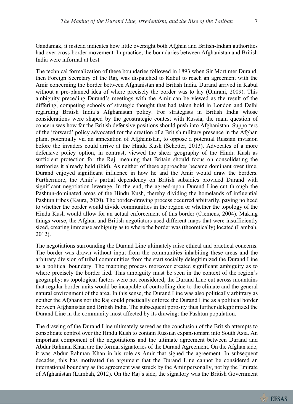Gandamak, it instead indicates how little oversight both Afghan and British-Indian authorities had over cross-border movement. In practice, the boundaries between Afghanistan and British India were informal at best.

The technical formalization of these boundaries followed in 1893 when Sir Mortimer Durand, then Foreign Secretary of the Raj, was dispatched to Kabul to reach an agreement with the Amir concerning the border between Afghanistan and British India. Durand arrived in Kabul without a pre-planned idea of where precisely the border was to lay (Omrani, 2009). This ambiguity preceding Durand's meetings with the Amir can be viewed as the result of the differing, competing schools of strategic thought that had taken hold in London and Delhi regarding British India's Afghanistan policy. For strategists in British India whose considerations were shaped by the geostrategic contest with Russia, the main question of concern was how far the British defensive positions should push into Afghanistan. Supporters of the 'forward' policy advocated for the creation of a British military presence in the Afghan plain, potentially via an annexation of Afghanistan, to oppose a potential Russian invasion before the invaders could arrive at the Hindu Kush (Schetter, 2013). Advocates of a more defensive policy option, in contrast, viewed the sheer geography of the Hindu Kush as sufficient protection for the Raj, meaning that Britain should focus on consolidating the territories it already held (ibid). As neither of these approaches became dominant over time, Durand enjoyed significant influence in how he and the Amir would draw the borders. Furthermore, the Amir's partial dependency on British subsidies provided Durand with significant negotiation leverage. In the end, the agreed-upon Durand Line cut through the Pashtun-dominated areas of the Hindu Kush, thereby dividing the homelands of influential Pashtun tribes (Kaura, 2020). The border-drawing process occurred arbitrarily, paying no heed to whether the border would divide communities in the region or whether the topology of the Hindu Kush would allow for an actual enforcement of this border (Clemens, 2004). Making things worse, the Afghan and British negotiators used different maps that were insufficiently sized, creating immense ambiguity as to where the border was (theoretically) located (Lambah, 2012).

The negotiations surrounding the Durand Line ultimately raise ethical and practical concerns. The border was drawn without input from the communities inhabiting these areas and the arbitrary division of tribal communities from the start socially delegitimized the Durand Line as a political boundary. The mapping process moreover created significant ambiguity as to where precisely the border lied. This ambiguity must be seen in the context of the region's geography: as topological factors were not considered, the Durand Line cut across mountains that regular border units would be incapable of controlling due to the climate and the general natural environment of the area. In this sense, the Durand Line was also politically arbitrary as neither the Afghans nor the Raj could practically enforce the Durand Line as a political border between Afghanistan and British India. The subsequent porosity thus further delegitimized the Durand Line in the community most affected by its drawing: the Pashtun population.

The drawing of the Durand Line ultimately served as the conclusion of the British attempts to consolidate control over the Hindu Kush to contain Russian expansionism into South Asia. An important component of the negotiations and the ultimate agreement between Durand and Abdur Rahman Khan are the formal signatories of the Durand Agreement. On the Afghan side, it was Abdur Rahman Khan in his role as Amir that signed the agreement. In subsequent decades, this has motivated the argument that the Durand Line cannot be considered an international boundary as the agreement was struck by the Amir personally, not by the Emirate of Afghanistan (Lambah, 2012). On the Raj's side, the signatory was the British Government

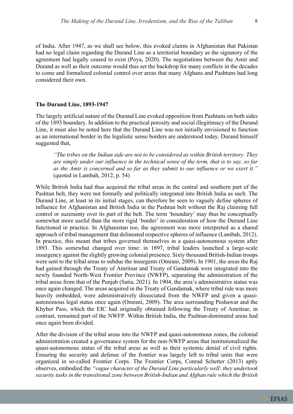of India. After 1947, as we shall see below, this evoked claims in Afghanistan that Pakistan had no legal claim regarding the Durand Line as a territorial boundary as the signatory of the agreement had legally ceased to exist (Poya, 2020). The negotiations between the Amir and Durand as well as their outcome would thus set the backdrop for many conflicts in the decades to come and formalized colonial control over areas that many Afghans and Pashtuns had long considered their own.

# **The Durand Line, 1893-1947**

The largely artificial nature of the Durand Line evoked opposition from Pashtuns on both sides of the 1893 boundary. In addition to the practical porosity and social illegitimacy of the Durand Line, it must also be noted here that the Durand Line was not initially envisioned to function as an international border in the legalistic sense borders are understood today. Durand himself suggested that,

*"The tribes on the Indian side are not to be considered as within British territory. They are simply under our influence in the technical sense of the term, that is to say, so far as the Amir is concerned and so far as they submit to our influence or we exert it."* (quoted in Lambah, 2012, p. 54)

While British India had thus acquired the tribal areas in the central and southern part of the Pashtun belt, they were not formally and politically integrated into British India as such. The Durand Line, at least in its initial stages, can therefore be seen to vaguely define spheres of influence for Afghanistan and British India in the Pashtun belt without the Raj claiming full control or suzerainty over its part of the belt. The term 'boundary' may thus be conceptually somewhat more useful than the more rigid 'border' in consideration of how the Durand Line functioned in practice. In Afghanistan too, the agreement was more interpreted as a shared approach of tribal management that delineated respective spheres of influence (Lambah, 2012). In practice, this meant that tribes governed themselves in a quasi-autonomous system after 1893. This somewhat changed over time: in 1897, tribal leaders launched a large-scale insurgency against the slightly growing colonial presence. Sixty thousand British-Indian troops were sent to the tribal areas to subdue the insurgents (Omrani, 2009). In 1901, the areas the Raj had gained through the Treaty of Amritsar and Treaty of Gandamak were integrated into the newly founded North-West Frontier Province (NWFP), separating the administration of the tribal areas from that of the Punjab (Satia, 2021). In 1904, the area's administrative status was once again changed. The areas acquired in the Treaty of Gandamak, where tribal rule was more heavily embedded, were administratively dissociated from the NWFP and given a quasiautonomous legal status once again (Omrani, 2009). The area surrounding Peshawar and the Khyber Pass, which the EIC had originally obtained following the Treaty of Amritsar, in contrast, remained part of the NWFP. Within British India, the Pashtun-dominated areas had once again been divided.

After the division of the tribal areas into the NWFP and quasi-autonomous zones, the colonial administration created a governance system for the non-NWFP areas that institutionalized the quasi-autonomous status of the tribal areas as well as their systemic denial of civil rights. Ensuring the security and defense of the frontier was largely left to tribal units that were organized in so-called Frontier Corps. The Frontier Corps, Conrad Schetter (2013) aptly observes, embodied the *"vague character of the Durand Line particularly well: they undertook security tasks in the transitional zone between British-Indian and Afghan rule which the British* 

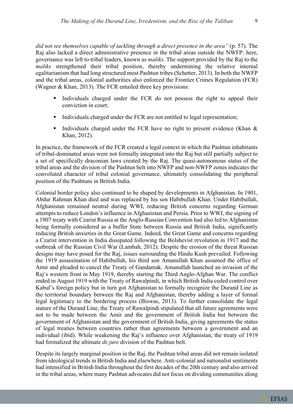*did not see themselves capable of tackling through a direct presence in the area"* (p. 57). The Raj also lacked a direct administrative presence in the tribal areas outside the NWFP: here, governance was left to tribal leaders, known as *maliks*. The support provided by the Raj to the *maliks* strengthened their tribal position, thereby undermining the relative internal egalitarianism that had long structured most Pashtun tribes (Schetter, 2013). In both the NWFP and the tribal areas, colonial authorities also enforced the Frontier Crimes Regulation (FCR) (Wagner & Khan, 2013). The FCR entailed three key provisions:

- Individuals charged under the FCR do not possess the right to appeal their conviction in court;
- Individuals charged under the FCR are not entitled to legal representation;
- Individuals charged under the FCR have no right to present evidence (Khan  $\&$ Khan, 2012).

In practice, the framework of the FCR created a legal context in which the Pashtun inhabitants of tribal-dominated areas were not formally integrated into the Raj but still partially subject to a set of specifically draconian laws created by the Raj. The quasi-autonomous status of the tribal areas and the division of the Pashtun belt into NWFP and non-NWFP zones indicates the convoluted character of tribal colonial governance, ultimately consolidating the peripheral position of the Pashtuns in British India.

Colonial border policy also continued to be shaped by developments in Afghanistan. In 1901, Abdur Rahman Khan died and was replaced by his son Habibullah Khan. Under Habibullah, Afghanistan remained neutral during WWI, reducing British concerns regarding German attempts to reduce London's influence in Afghanistan and Persia. Prior to WWI, the signing of a 1907 treaty with Czarist Russia at the Anglo-Russian Convention had also led to Afghanistan being formally considered as a buffer State between Russia and British India, significantly reducing British anxieties in the Great Game. Indeed, the Great Game and concerns regarding a Czarist intervention in India dissipated following the Bolshevist revolution in 1917 and the outbreak of the Russian Civil War (Lambah, 2012). Despite the erosion of the threat Russian designs may have posed for the Raj, issues surrounding the Hindu Kush prevailed. Following the 1919 assassination of Habibullah, his third son Amanullah Khan assumed the office of Amir and pleaded to cancel the Treaty of Gandamak. Amanullah launched an invasion of the Raj's western front in May 1919, thereby starting the Third Anglo-Afghan War. The conflict ended in August 1919 with the Treaty of Rawalpindi, in which British India ceded control over Kabul's foreign policy but in turn got Afghanistan to formally recognize the Durand Line as the territorial boundary between the Raj and Afghanistan, thereby adding a layer of formal legal legitimacy to the bordering process (Biswas, 2013). To further consolidate the legal stature of the Durand Line, the Treaty of Rawalpindi stipulated that all future agreements were not to be made between the Amir and the government of British India but between the government of Afghanistan and the government of British India, giving agreements the status of legal treaties between countries rather than agreements between a government and an individual (ibid). While weakening the Raj's influence over Afghanistan, the treaty of 1919 had formalized the ultimate *de jure* division of the Pashtun belt.

Despite its largely marginal position in the Raj, the Pashtun tribal areas did not remain isolated from ideological trends in British India and elsewhere. Anti-colonial and nationalist sentiments had intensified in British India throughout the first decades of the 20th century and also arrived in the tribal areas, where many Pashtun advocates did not focus on dividing communities along

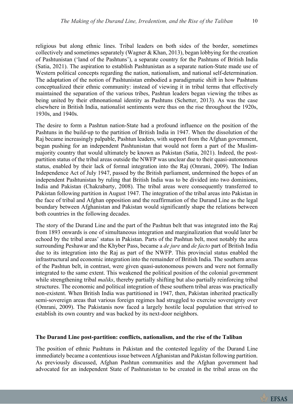religious but along ethnic lines. Tribal leaders on both sides of the border, sometimes collectively and sometimes separately (Wagner & Khan, 2013), began lobbying for the creation of Pashtunistan ('land of the Pashtuns'), a separate country for the Pashtuns of British India (Satia, 2021). The aspiration to establish Pashtunistan as a separate nation-State made use of Western political concepts regarding the nation, nationalism, and national self-determination. The adaptation of the notion of Pashtunistan embodied a paradigmatic shift in how Pashtuns conceptualized their ethnic community: instead of viewing it in tribal terms that effectively maintained the separation of the various tribes, Pashtun leaders began viewing the tribes as being united by their ethnonational identity as Pashtuns (Schetter, 2013). As was the case elsewhere in British India, nationalist sentiments were thus on the rise throughout the 1920s, 1930s, and 1940s.

The desire to form a Pashtun nation-State had a profound influence on the position of the Pashtuns in the build-up to the partition of British India in 1947. When the dissolution of the Raj became increasingly palpable, Pashtun leaders, with support from the Afghan government, began pushing for an independent Pashtunistan that would not form a part of the Muslimmajority country that would ultimately be known as Pakistan (Satia, 2021). Indeed, the postpartition status of the tribal areas outside the NWFP was unclear due to their quasi-autonomous status, enabled by their lack of formal integration into the Raj (Omrani, 2009). The Indian Independence Act of July 1947, passed by the British parliament, undermined the hopes of an independent Pashtunistan by ruling that British India was to be divided into two dominions, India and Pakistan (Chakrabarty, 2008). The tribal areas were consequently transferred to Pakistan following partition in August 1947. The integration of the tribal areas into Pakistan in the face of tribal and Afghan opposition and the reaffirmation of the Durand Line as the legal boundary between Afghanistan and Pakistan would significantly shape the relations between both countries in the following decades.

The story of the Durand Line and the part of the Pashtun belt that was integrated into the Raj from 1893 onwards is one of simultaneous integration and marginalization that would later be echoed by the tribal areas' status in Pakistan. Parts of the Pashtun belt, most notably the area surrounding Peshawar and the Khyber Pass, became a *de jure* and *de facto* part of British India due to its integration into the Raj as part of the NWFP. This provincial status enabled the infrastructural and economic integration into the remainder of British India. The southern areas of the Pashtun belt, in contrast, were given quasi-autonomous powers and were not formally integrated to the same extent. This weakened the political position of the colonial government while strengthening tribal *maliks*, thereby partially shifting but also partially reinforcing tribal structures. The economic and political integration of these southern tribal areas was practically non-existent. When British India was partitioned in 1947, then, Pakistan inherited practically semi-sovereign areas that various foreign regimes had struggled to exercise sovereignty over (Omrani, 2009). The Pakistanis now faced a largely hostile local population that strived to establish its own country and was backed by its next-door neighbors.

#### **The Durand Line post-partition: conflicts, nationalism, and the rise of the Taliban**

The position of ethnic Pashtuns in Pakistan and the contested legality of the Durand Line immediately became a contentious issue between Afghanistan and Pakistan following partition. As previously discussed, Afghan Pashtun communities and the Afghan government had advocated for an independent State of Pashtunistan to be created in the tribal areas on the

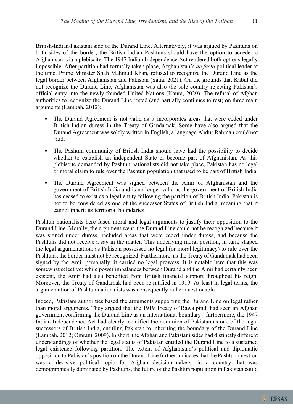British-Indian/Pakistani side of the Durand Line. Alternatively, it was argued by Pashtuns on both sides of the border, the British-Indian Pashtuns should have the option to accede to Afghanistan via a plebiscite. The 1947 Indian Independence Act rendered both options legally impossible. After partition had formally taken place, Afghanistan's *de facto* political leader at the time, Prime Minister Shah Mahmud Khan, refused to recognize the Durand Line as the legal border between Afghanistan and Pakistan (Satia, 2021). On the grounds that Kabul did not recognize the Durand Line, Afghanistan was also the sole country rejecting Pakistan's official entry into the newly founded United Nations (Kaura, 2020). The refusal of Afghan authorities to recognize the Durand Line rested (and partially continues to rest) on three main arguments (Lambah, 2012):

- The Durand Agreement is not valid as it incorporates areas that were ceded under British-Indian duress in the Treaty of Gandamak. Some have also argued that the Durand Agreement was solely written in English, a language Abdur Rahman could not read.
- § The Pashtun community of British India should have had the possibility to decide whether to establish an independent State or become part of Afghanistan. As this plebiscite demanded by Pashtun nationalists did not take place, Pakistan has no legal or moral claim to rule over the Pashtun population that used to be part of British India.
- § The Durand Agreement was signed between the Amir of Afghanistan and the government of British India and is no longer valid as the government of British India has ceased to exist as a legal entity following the partition of British India. Pakistan is not to be considered as one of the successor States of British India, meaning that it cannot inherit its territorial boundaries.

Pashtun nationalists here fused moral and legal arguments to justify their opposition to the Durand Line. Morally, the argument went, the Durand Line could not be recognized because it was signed under duress, included areas that were ceded under duress, and because the Pashtuns did not receive a say in the matter. This underlying moral position, in turn, shaped the legal argumentation: as Pakistan possessed no legal (or moral legitimacy) to rule over the Pashtuns, the border must not be recognized. Furthermore, as the Treaty of Gandamak had been signed by the Amir personally, it carried no legal prowess. It is notable here that this was somewhat selective: while power imbalances between Durand and the Amir had certainly been existent, the Amir had also benefited from British financial support throughout his reign. Moreover, the Treaty of Gandamak had been re-ratified in 1919. At least in legal terms, the argumentation of Pashtun nationalists was consequently rather questionable.

Indeed, Pakistani authorities based the arguments supporting the Durand Line on legal rather than moral arguments. They argued that the 1919 Treaty of Rawalpindi had seen an Afghan government confirming the Durand Line as an international boundary - furthermore, the 1947 Indian Independence Act had clearly identified the dominion of Pakistan as one of the legal successors of British India, entitling Pakistan to inheriting the boundary of the Durand Line (Lambah, 2012; Omrani, 2009). In short, the Afghan and Pakistani sides had distinctly different understandings of whether the legal status of Pakistan entitled the Durand Line to a sustained legal existence following partition. The extent of Afghanistan's political and diplomatic opposition to Pakistan's position on the Durand Line further indicates that the Pashtun question was a decisive political topic for Afghan decision-makers: in a country that was demographically dominated by Pashtuns, the future of the Pashtun population in Pakistan could

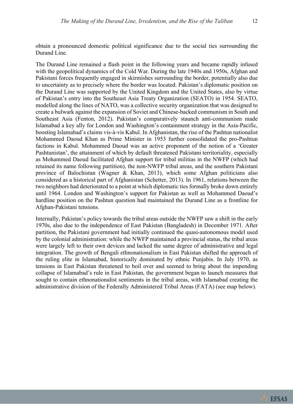obtain a pronounced domestic political significance due to the social ties surrounding the Durand Line.

The Durand Line remained a flash point in the following years and became rapidly infused with the geopolitical dynamics of the Cold War. During the late 1940s and 1950s, Afghan and Pakistani forces frequently engaged in skirmishes surrounding the border, potentially also due to uncertainty as to precisely where the border was located. Pakistan's diplomatic position on the Durand Line was supported by the United Kingdom and the United States, also by virtue of Pakistan's entry into the Southeast Asia Treaty Organization (SEATO) in 1954. SEATO, modelled along the lines of NATO, was a collective security organization that was designed to create a bulwark against the expansion of Soviet and Chinese-backed communism in South and Southeast Asia (Fenton, 2012). Pakistan's comparatively staunch anti-communism made Islamabad a key ally for London and Washington's containment strategy in the Asia-Pacific, boosting Islamabad's claims vis-à-vis Kabul. In Afghanistan, the rise of the Pashtun nationalist Mohammed Daoud Khan as Prime Minister in 1953 further consolidated the pro-Pashtun factions in Kabul. Mohammed Daoud was an active proponent of the notion of a 'Greater Pashtunistan', the attainment of which by default threatened Pakistani territoriality, especially as Mohammed Daoud facilitated Afghan support for tribal militias in the NWFP (which had retained its name following partition), the non-NWFP tribal areas, and the southern Pakistani province of Balochistan (Wagner & Khan, 2013), which some Afghan politicians also considered as a historical part of Afghanistan (Schetter, 2013). In 1961, relations between the two neighbors had deteriorated to a point at which diplomatic ties formally broke down entirely until 1964. London and Washington's support for Pakistan as well as Mohammed Daoud's hardline position on the Pashtun question had maintained the Durand Line as a frontline for Afghan-Pakistani tensions.

Internally, Pakistan's policy towards the tribal areas outside the NWFP saw a shift in the early 1970s, also due to the independence of East Pakistan (Bangladesh) in December 1971. After partition, the Pakistani government had initially continued the quasi-autonomous model used by the colonial administration: while the NWFP maintained a provincial status, the tribal areas were largely left to their own devices and lacked the same degree of administrative and legal integration. The growth of Bengali ethnonationalism in East Pakistan shifted the approach of the ruling elite in Islamabad, historically dominated by ethnic Punjabis. In July 1970, as tensions in East Pakistan threatened to boil over and seemed to bring about the impending collapse of Islamabad's rule in East Pakistan, the government began to launch measures that sought to contain ethnonationalist sentiments in the tribal areas, with Islamabad creating the administrative division of the Federally Administered Tribal Areas (FATA) (see map below).

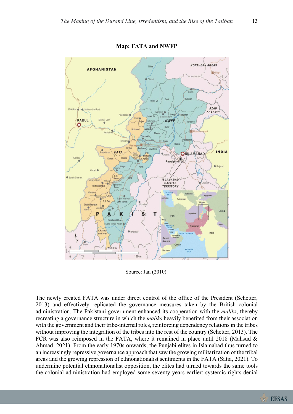

# **Map: FATA and NWFP**

Source: Jan (2010).

The newly created FATA was under direct control of the office of the President (Schetter, 2013) and effectively replicated the governance measures taken by the British colonial administration. The Pakistani government enhanced its cooperation with the *maliks*, thereby recreating a governance structure in which the *maliks* heavily benefited from their association with the government and their tribe-internal roles, reinforcing dependency relations in the tribes without improving the integration of the tribes into the rest of the country (Schetter, 2013). The FCR was also reimposed in the FATA, where it remained in place until 2018 (Mahsud & Ahmad, 2021). From the early 1970s onwards, the Punjabi elites in Islamabad thus turned to an increasingly repressive governance approach that saw the growing militarization of the tribal areas and the growing repression of ethnonationalist sentiments in the FATA (Satia, 2021). To undermine potential ethnonationalist opposition, the elites had turned towards the same tools the colonial administration had employed some seventy years earlier: systemic rights denial

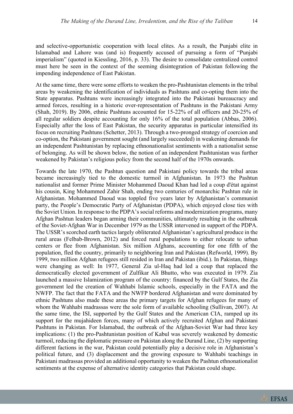and selective-opportunistic cooperation with local elites. As a result, the Punjabi elite in Islamabad and Lahore was (and is) frequently accused of pursuing a form of "Punjabi imperialism" (quoted in Kiessling, 2016, p. 33). The desire to consolidate centralized control must here be seen in the context of the seeming disintegration of Pakistan following the impending independence of East Pakistan.

At the same time, there were some efforts to weaken the pro-Pashtunistan elements in the tribal areas by weakening the identification of individuals as Pashtuns and co-opting them into the State apparatus. Pashtuns were increasingly integrated into the Pakistani bureaucracy and armed forces, resulting in a historic over-representation of Pashtuns in the Pakistani Army (Shah, 2019). By 2006, ethnic Pashtuns accounted for 15-22% of all officers and 20-25% of all regular soldiers despite accounting for only 16% of the total population (Abbas, 2006). Especially after the loss of East Pakistan, the security apparatus in particular intensified its focus on recruiting Pashtuns (Schetter, 2013). Through a two-pronged strategy of coercion and co-option, the Pakistani government sought (and largely succeeded) in weakening demands for an independent Pashtunistan by replacing ethnonationalist sentiments with a nationalist sense of belonging. As will be shown below, the notion of an independent Pashtunistan was further weakened by Pakistan's religious policy from the second half of the 1970s onwards.

Towards the late 1970, the Pashtun question and Pakistani policy towards the tribal areas became increasingly tied to the domestic turmoil in Afghanistan. In 1973 the Pashtun nationalist and former Prime Minister Mohammed Daoud Khan had led a coup d'état against his cousin, King Mohammed Zahir Shah, ending two centuries of monarchic Pashtun rule in Afghanistan. Mohammed Daoud was toppled five years later by Afghanistan's communist party, the People's Democratic Party of Afghanistan (PDPA), which enjoyed close ties with the Soviet Union. In response to the PDPA's social reforms and modernization programs, many Afghan Pashtun leaders began arming their communities, ultimately resulting in the outbreak of the Soviet-Afghan War in December 1979 as the USSR intervened in support of the PDPA. The USSR's scorched earth tactics largely obliterated Afghanistan's agricultural produce in the rural areas (Felbab-Brown, 2012) and forced rural populations to either relocate to urban centers or flee from Afghanistan. Six million Afghans, accounting for one fifth of the population, fled the country, primarily to neighboring Iran and Pakistan (Refworld, 1999). By 1999, two million Afghan refugees still resided in Iran and Pakistan (ibid.). In Pakistan, things were changing as well: In 1977, General Zia ul-Haq had led a coup that replaced the democratically elected government of Zulfikar Ali Bhutto, who was executed in 1979. Zia launched a massive Islamization program of the country: financed by the Gulf States, the Zia government led the creation of Wahhabi Islamic schools, especially in the FATA and the NWFP. The fact that the FATA and the NWFP bordered Afghanistan and were dominated by ethnic Pashtuns also made these areas the primary targets for Afghan refugees for many of whom the Wahhabi madrassas were the sole form of available schooling (Sullivan, 2007). At the same time, the ISI, supported by the Gulf States and the American CIA, ramped up its support for the mujahideen forces, many of which actively recruited Afghan and Pakistani Pashtuns in Pakistan. For Islamabad, the outbreak of the Afghan-Soviet War had three key implications: (1) the pro-Pashtunistan position of Kabul was severely weakened by domestic turmoil, reducing the diplomatic pressure on Pakistan along the Durand Line, (2) by supporting different factions in the war, Pakistan could potentially play a decisive role in Afghanistan's political future, and (3) displacement and the growing exposure to Wahhabi teachings in Pakistani madrassas provided an additional opportunity to weaken the Pashtun ethnonationalist sentiments at the expense of alternative identity categories that Pakistan could shape.

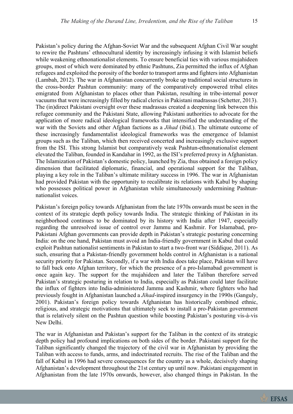**EFSAS** 

Pakistan's policy during the Afghan-Soviet War and the subsequent Afghan Civil War sought to rewire the Pashtuns' ethnocultural identity by increasingly infusing it with Islamist beliefs while weakening ethnonationalist elements. To ensure beneficial ties with various mujahideen groups, most of which were dominated by ethnic Pashtuns, Zia permitted the influx of Afghan refugees and exploited the porosity of the border to transport arms and fighters into Afghanistan (Lambah, 2012). The war in Afghanistan concurrently broke up traditional social structures in the cross-border Pashtun community: many of the comparatively empowered tribal elites emigrated from Afghanistan to places other than Pakistan, resulting in tribe-internal power vacuums that were increasingly filled by radical clerics in Pakistani madrassas (Schetter, 2013). The (in)direct Pakistani oversight over these madrassas created a deepening link between this refugee community and the Pakistani State, allowing Pakistani authorities to advocate for the application of more radical ideological frameworks that intensified the understanding of the war with the Soviets and other Afghan factions as a *Jihad* (ibid.). The ultimate outcome of these increasingly fundamentalist ideological frameworks was the emergence of Islamist groups such as the Taliban, which then received concerted and increasingly exclusive support from the ISI. This strong Islamist but comparatively weak Pashtun-ethnonationalist element elevated the Taliban, founded in Kandahar in 1992, as the ISI's preferred proxy in Afghanistan. The Islamization of Pakistan's domestic policy, launched by Zia, thus obtained a foreign policy dimension that facilitated diplomatic, financial, and operational support for the Taliban, playing a key role in the Taliban's ultimate military success in 1996. The war in Afghanistan had provided Pakistan with the opportunity to recalibrate its relations with Kabul by shaping who possesses political power in Afghanistan while simultaneously undermining Pashtunnationalist voices.

Pakistan's foreign policy towards Afghanistan from the late 1970s onwards must be seen in the context of its strategic depth policy towards India. The strategic thinking of Pakistan in its neighborhood continues to be dominated by its history with India after 1947, especially regarding the unresolved issue of control over Jammu and Kashmir. For Islamabad, pro-Pakistani Afghan governments can provide depth in Pakistan's strategic posturing concerning India: on the one hand, Pakistan must avoid an India-friendly government in Kabul that could exploit Pashtun nationalist sentiments in Pakistan to start a two-front war (Siddique, 2011). As such, ensuring that a Pakistan-friendly government holds control in Afghanistan is a national security priority for Pakistan. Secondly, if a war with India does take place, Pakistan will have to fall back onto Afghan territory, for which the presence of a pro-Islamabad government is once again key. The support for the mujahideen and later the Taliban therefore served Pakistan's strategic posturing in relation to India, especially as Pakistan could later facilitate the influx of fighters into India-administered Jammu and Kashmir, where fighters who had previously fought in Afghanistan launched a *Jihad*-inspired insurgency in the 1990s (Ganguly, 2001). Pakistan's foreign policy towards Afghanistan has historically combined ethnic, religious, and strategic motivations that ultimately seek to install a pro-Pakistan government that is relatively silent on the Pashtun question while boosting Pakistan's posturing vis-à-vis New Delhi.

The war in Afghanistan and Pakistan's support for the Taliban in the context of its strategic depth policy had profound implications on both sides of the border. Pakistani support for the Taliban significantly changed the trajectory of the civil war in Afghanistan by providing the Taliban with access to funds, arms, and indoctrinated recruits. The rise of the Taliban and the fall of Kabul in 1996 had severe consequences for the country as a whole, decisively shaping Afghanistan's development throughout the 21st century up until now. Pakistani engagement in Afghanistan from the late 1970s onwards, however, also changed things in Pakistan. In the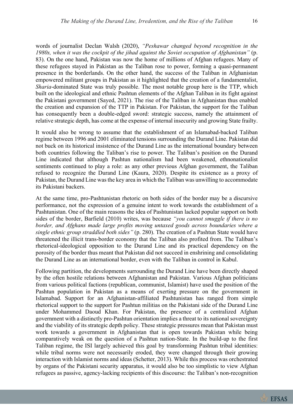words of journalist Declan Walsh (2020), *"Peshawar changed beyond recognition in the 1980s, when it was the cockpit of the jihad against the Soviet occupation of Afghanistan"* (p. 83). On the one hand, Pakistan was now the home of millions of Afghan refugees. Many of these refugees stayed in Pakistan as the Taliban rose to power, forming a quasi-permanent presence in the borderlands. On the other hand, the success of the Taliban in Afghanistan empowered militant groups in Pakistan as it highlighted that the creation of a fundamentalist, *Sharia*-dominated State was truly possible. The most notable group here is the TTP, which built on the ideological and ethnic Pashtun elements of the Afghan Taliban in its fight against the Pakistani government (Sayed, 2021). The rise of the Taliban in Afghanistan thus enabled the creation and expansion of the TTP in Pakistan. For Pakistan, the support for the Taliban has consequently been a double-edged sword: strategic success, namely the attainment of relative strategic depth, has come at the expense of internal insecurity and growing State frailty.

It would also be wrong to assume that the establishment of an Islamabad-backed Taliban regime between 1996 and 2001 eliminated tensions surrounding the Durand Line. Pakistan did not buck on its historical insistence of the Durand Line as the international boundary between both countries following the Taliban's rise to power. The Taliban's position on the Durand Line indicated that although Pashtun nationalism had been weakened, ethnonationalist sentiments continued to play a role: as any other previous Afghan government, the Taliban refused to recognize the Durand Line (Kaura, 2020). Despite its existence as a proxy of Pakistan, the Durand Line was the key area in which the Taliban was unwilling to accommodate its Pakistani backers.

At the same time, pro-Pashtunistan rhetoric on both sides of the border may be a discursive performance, not the expression of a genuine intent to work towards the establishment of a Pashtunistan. One of the main reasons the idea of Pashtunistan lacked popular support on both sides of the border, Barfield (2010) writes, was because *"you cannot smuggle if there is no border, and Afghans made large profits moving untaxed goods across boundaries where a single ethnic group straddled both sides"* (p. 280). The creation of a Pashtun State would have threatened the illicit trans-border economy that the Taliban also profited from. The Taliban's rhetorical-ideological opposition to the Durand Line and its practical dependency on the porosity of the border thus meant that Pakistan did not succeed in enshrining and consolidating the Durand Line as an international border, even with the Taliban in control in Kabul.

Following partition, the developments surrounding the Durand Line have been directly shaped by the often hostile relations between Afghanistan and Pakistan. Various Afghan politicians from various political factions (republican, communist, Islamist) have used the position of the Pashtun population in Pakistan as a means of exerting pressure on the government in Islamabad. Support for an Afghanistan-affiliated Pashtunistan has ranged from simple rhetorical support to the support for Pashtun militias on the Pakistani side of the Durand Line under Mohammed Daoud Khan. For Pakistan, the presence of a centralized Afghan government with a distinctly pro-Pashtun orientation implies a threat to its national sovereignty and the viability of its strategic depth policy. These strategic pressures mean that Pakistan must work towards a government in Afghanistan that is open towards Pakistan while being comparatively weak on the question of a Pashtun nation-State. In the build-up to the first Taliban regime, the ISI largely achieved this goal by transforming Pashtun tribal identities: while tribal norms were not necessarily eroded, they were changed through their growing interaction with Islamist norms and ideas (Schetter, 2013). While this process was orchestrated by organs of the Pakistani security apparatus, it would also be too simplistic to view Afghan refugees as passive, agency-lacking recipients of this discourse: the Taliban's non-recognition

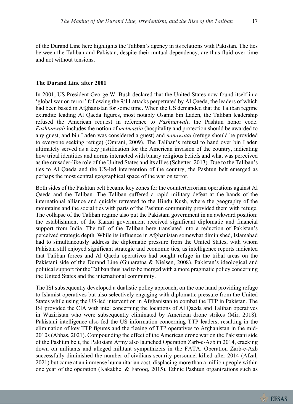of the Durand Line here highlights the Taliban's agency in its relations with Pakistan. The ties between the Taliban and Pakistan, despite their mutual dependency, are thus fluid over time and not without tensions.

# **The Durand Line after 2001**

In 2001, US President George W. Bush declared that the United States now found itself in a 'global war on terror' following the 9/11 attacks perpetrated by Al Qaeda, the leaders of which had been based in Afghanistan for some time. When the US demanded that the Taliban regime extradite leading Al Qaeda figures, most notably Osama bin Laden, the Taliban leadership refused the American request in reference to *Pashtunwali*, the Pashtun honor code. *Pashtunwali* includes the notion of *melmastia* (hospitality and protection should be awarded to any guest, and bin Laden was considered a guest) and *nanawatai* (refuge should be provided to everyone seeking refuge) (Omrani, 2009). The Taliban's refusal to hand over bin Laden ultimately served as a key justification for the American invasion of the country, indicating how tribal identities and norms interacted with binary religious beliefs and what was perceived as the crusader-like role of the United States and its allies (Schetter, 2013). Due to the Taliban's ties to Al Qaeda and the US-led intervention of the country, the Pashtun belt emerged as perhaps the most central geographical space of the war on terror.

Both sides of the Pashtun belt became key zones for the counterterrorism operations against Al Qaeda and the Taliban. The Taliban suffered a rapid military defeat at the hands of the international alliance and quickly retreated to the Hindu Kush, where the geography of the mountains and the social ties with parts of the Pashtun community provided them with refuge. The collapse of the Taliban regime also put the Pakistani government in an awkward position: the establishment of the Karzai government received significant diplomatic and financial support from India. The fall of the Taliban here translated into a reduction of Pakistan's perceived strategic depth. While its influence in Afghanistan somewhat diminished, Islamabad had to simultaneously address the diplomatic pressure from the United States, with whom Pakistan still enjoyed significant strategic and economic ties, as intelligence reports indicated that Taliban forces and Al Qaeda operatives had sought refuge in the tribal areas on the Pakistani side of the Durand Line (Gunaratna & Nielsen, 2008). Pakistan's ideological and political support for the Taliban thus had to be merged with a more pragmatic policy concerning the United States and the international community.

The ISI subsequently developed a dualistic policy approach, on the one hand providing refuge to Islamist operatives but also selectively engaging with diplomatic pressure from the United States while using the US-led intervention in Afghanistan to combat the TTP in Pakistan. The ISI provided the CIA with intel concerning the locations of Al Qaeda and Taliban operatives in Waziristan who were subsequently eliminated by American drone strikes (Mir, 2018). Pakistani intelligence also fed the US information concerning TTP leaders, resulting in the elimination of key TTP figures and the fleeing of TTP operatives to Afghanistan in the mid-2010s (Abbas, 2021). Compounding the effect of the American drone war on the Pakistani side of the Pashtun belt, the Pakistani Army also launched Operation Zarb-e-Azb in 2014, cracking down on militants and alleged militant sympathizers in the FATA. Operation Zarb-e-Azb successfully diminished the number of civilians security personnel killed after 2014 (Afzal, 2021) but came at an immense humanitarian cost, displacing more than a million people within one year of the operation (Kakakhel & Farooq, 2015). Ethnic Pashtun organizations such as

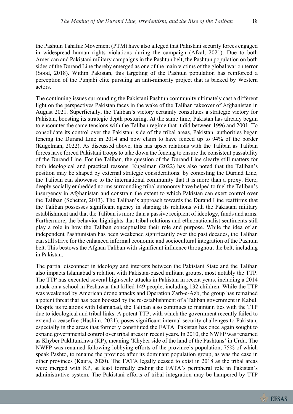the Pashtun Tahafuz Movement (PTM) have also alleged that Pakistani security forces engaged in widespread human rights violations during the campaign (Afzal, 2021). Due to both American and Pakistani military campaigns in the Pashtun belt, the Pashtun population on both sides of the Durand Line thereby emerged as one of the main victims of the global war on terror (Sood, 2018). Within Pakistan, this targeting of the Pashtun population has reinforced a perception of the Punjabi elite pursuing an anti-minority project that is backed by Western actors.

The continuing issues surrounding the Pakistani Pashtun community ultimately cast a different light on the perspectives Pakistan faces in the wake of the Taliban takeover of Afghanistan in August 2021. Superficially, the Taliban's victory certainly constitutes a strategic victory for Pakistan, boosting its strategic depth posturing. At the same time, Pakistan has already begun to encounter the same tensions with the Taliban regime that it did between 1996 and 2001. To consolidate its control over the Pakistani side of the tribal areas, Pakistani authorities began fencing the Durand Line in 2014 and now claim to have fenced up to 94% of the border (Kugelman, 2022). As discussed above, this has upset relations with the Taliban as Taliban forces have forced Pakistani troops to take down the fencing to ensure the consistent passability of the Durand Line. For the Taliban, the question of the Durand Line clearly still matters for both ideological and practical reasons. Kugelman (2022) has also noted that the Taliban's position may be shaped by external strategic considerations: by contesting the Durand Line, the Taliban can showcase to the international community that it is more than a proxy. Here, deeply socially embedded norms surrounding tribal autonomy have helped to fuel the Taliban's insurgency in Afghanistan and constrain the extent to which Pakistan can exert control over the Taliban (Schetter, 2013). The Taliban's approach towards the Durand Line reaffirms that the Taliban possesses significant agency in shaping its relations with the Pakistani military establishment and that the Taliban is more than a passive recipient of ideology, funds and arms. Furthermore, the behavior highlights that tribal relations and ethnonationalist sentiments still play a role in how the Taliban conceptualize their role and purpose. While the idea of an independent Pashtunistan has been weakened significantly over the past decades, the Taliban can still strive for the enhanced informal economic and sociocultural integration of the Pashtun belt. This bestows the Afghan Taliban with significant influence throughout the belt, including in Pakistan.

The partial disconnect in ideology and interests between the Pakistani State and the Taliban also impacts Islamabad's relation with Pakistan-based militant groups, most notably the TTP. The TTP has executed several high-scale attacks in Pakistan in recent years, including a 2014 attack on a school in Peshawar that killed 149 people, including 132 children. While the TTP was weakened by American drone attacks and Operation Zarb-e-Azb, the group has remained a potent threat that has been boosted by the re-establishment of a Taliban government in Kabul. Despite its relations with Islamabad, the Taliban also continues to maintain ties with the TTP due to ideological and tribal links. A potent TTP, with which the government recently failed to extend a ceasefire (Hashim, 2021), poses significant internal security challenges to Pakistan, especially in the areas that formerly constituted the FATA. Pakistan has once again sought to expand governmental control over tribal areas in recent years. In 2010, the NWFP was renamed as Khyber Pakhtunkhwa (KP), meaning 'Khyber side of the land of the Pashtuns' in Urdu. The NWFP was renamed following lobbying efforts of the province's population, 75% of which speak Pashto, to rename the province after its dominant population group, as was the case in other provinces (Kaura, 2020). The FATA legally ceased to exist in 2018 as the tribal areas were merged with KP, at least formally ending the FATA's peripheral role in Pakistan's administrative system. The Pakistani efforts of tribal integration may be hampered by TTP

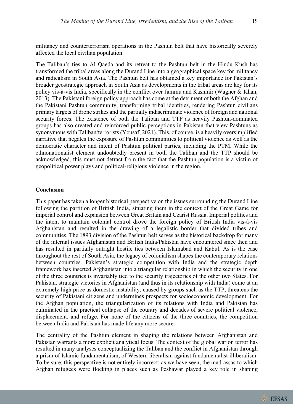militancy and counterterrorism operations in the Pashtun belt that have historically severely affected the local civilian population.

The Taliban's ties to Al Qaeda and its retreat to the Pashtun belt in the Hindu Kush has transformed the tribal areas along the Durand Line into a geographical space key for militancy and radicalism in South Asia. The Pashtun belt has obtained a key importance for Pakistan's broader geostrategic approach in South Asia as developments in the tribal areas are key for its policy vis-à-vis India, specifically in the conflict over Jammu and Kashmir (Wagner & Khan, 2013). The Pakistani foreign policy approach has come at the detriment of both the Afghan and the Pakistani Pashtun community, transforming tribal identities, rendering Pashtun civilians primary targets of drone strikes and the partially indiscriminate violence of foreign and national security forces. The existence of both the Taliban and TTP as heavily Pashtun-dominated groups has also created and reinforced public perceptions in Pakistan that view Pashtuns as synonymous with Taliban/terrorists (Yousaf, 2021). This, of course, is a heavily oversimplified narrative that negates the exposure of Pashtun communities to political violence as well as the democratic character and intent of Pashtun political parties, including the PTM. While the ethnonationalist element undoubtedly present in both the Taliban and the TTP should be acknowledged, this must not detract from the fact that the Pashtun population is a victim of geopolitical power plays and political-religious violence in the region.

#### **Conclusion**

This paper has taken a longer historical perspective on the issues surrounding the Durand Line following the partition of British India, situating them in the context of the Great Game for imperial control and expansion between Great Britain and Czarist Russia. Imperial politics and the intent to maintain colonial control drove the foreign policy of British India vis-à-vis Afghanistan and resulted in the drawing of a legalistic border that divided tribes and communities. The 1893 division of the Pashtun belt serves as the historical backdrop for many of the internal issues Afghanistan and British India/Pakistan have encountered since then and has resulted in partially outright hostile ties between Islamabad and Kabul. As is the case throughout the rest of South Asia, the legacy of colonialism shapes the contemporary relations between countries. Pakistan's strategic competition with India and the strategic depth framework has inserted Afghanistan into a triangular relationship in which the security in one of the three countries is invariably tied to the security trajectories of the other two States. For Pakistan, strategic victories in Afghanistan (and thus in its relationship with India) come at an extremely high price as domestic instability, caused by groups such as the TTP, threatens the security of Pakistani citizens and undermines prospects for socioeconomic development. For the Afghan population, the triangularization of its relations with India and Pakistan has culminated in the practical collapse of the country and decades of severe political violence, displacement, and refuge. For none of the citizens of the three countries, the competition between India and Pakistan has made life any more secure.

The centrality of the Pashtun element in shaping the relations between Afghanistan and Pakistan warrants a more explicit analytical focus. The context of the global war on terror has resulted in many analyses conceptualizing the Taliban and the conflict in Afghanistan through a prism of Islamic fundamentalism, of Western liberalism against fundamentalist illiberalism. To be sure, this perspective is not entirely incorrect: as we have seen, the madrassas to which Afghan refugees were flocking in places such as Peshawar played a key role in shaping

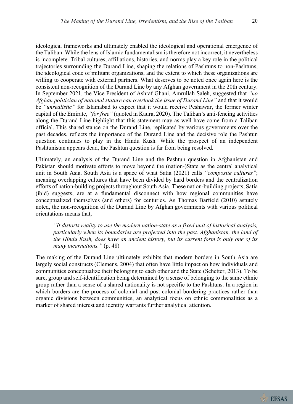ideological frameworks and ultimately enabled the ideological and operational emergence of the Taliban. While the lens of Islamic fundamentalism is therefore not incorrect, it nevertheless is incomplete. Tribal cultures, affiliations, histories, and norms play a key role in the political trajectories surrounding the Durand Line, shaping the relations of Pashtuns to non-Pashtuns, the ideological code of militant organizations, and the extent to which these organizations are willing to cooperate with external partners. What deserves to be noted once again here is the consistent non-recognition of the Durand Line by any Afghan government in the 20th century. In September 2021, the Vice President of Ashraf Ghani, Amrullah Saleh, suggested that *"no Afghan politician of national stature can overlook the issue of Durand Line"* and that it would be *"unrealistic"* for Islamabad to expect that it would receive Peshawar, the former winter capital of the Emirate, *"for free"* (quoted in Kaura, 2020). The Taliban's anti-fencing activities along the Durand Line highlight that this statement may as well have come from a Taliban official. This shared stance on the Durand Line, replicated by various governments over the past decades, reflects the importance of the Durand Line and the decisive role the Pashtun question continues to play in the Hindu Kush. While the prospect of an independent Pashtunistan appears dead, the Pashtun question is far from being resolved.

Ultimately, an analysis of the Durand Line and the Pashtun question in Afghanistan and Pakistan should motivate efforts to move beyond the (nation-)State as the central analytical unit in South Asia. South Asia is a space of what Satia (2021) calls *"composite cultures"*; meaning overlapping cultures that have been divided by hard borders and the centralization efforts of nation-building projects throughout South Asia. These nation-building projects, Satia (ibid) suggests, are at a fundamental disconnect with how regional communities have conceptualized themselves (and others) for centuries. As Thomas Barfield (2010) astutely noted, the non-recognition of the Durand Line by Afghan governments with various political orientations means that,

*"It distorts reality to use the modern nation-state as a fixed unit of historical analysis, particularly when its boundaries are projected into the past. Afghanistan, the land of the Hindu Kush, does have an ancient history, but its current form is only one of its many incarnations."* (p. 48)

The making of the Durand Line ultimately exhibits that modern borders in South Asia are largely social constructs (Clemens, 2004) that often have little impact on how individuals and communities conceptualize their belonging to each other and the State (Schetter, 2013). To be sure, group and self-identification being determined by a sense of belonging to the same ethnic group rather than a sense of a shared nationality is not specific to the Pashtuns. In a region in which borders are the process of colonial and post-colonial bordering practices rather than organic divisions between communities, an analytical focus on ethnic commonalities as a marker of shared interest and identity warrants further analytical attention.



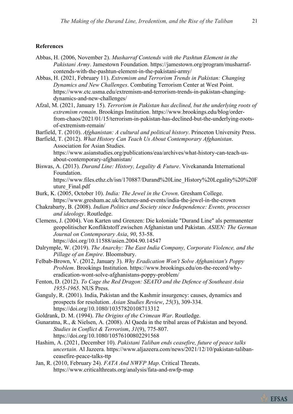# **References**

- Abbas, H. (2006, November 2). *Musharraf Contends with the Pashtun Element in the Pakistani Army*. Jamestown Foundation. https://jamestown.org/program/musharrafcontends-with-the-pashtun-element-in-the-pakistani-army/
- Abbas, H. (2021, February 11). *Extremism and Terrorism Trends in Pakistan: Changing Dynamics and New Challenges*. Combating Terrorism Center at West Point. https://www.ctc.usma.edu/extremism-and-terrorism-trends-in-pakistan-changingdynamics-and-new-challenges/
- Afzal, M. (2021, January 15). *Terrorism in Pakistan has declined, but the underlying roots of extremism remain*. Brookings Institution. https://www.brookings.edu/blog/orderfrom-chaos/2021/01/15/terrorism-in-pakistan-has-declined-but-the-underlying-rootsof-extremism-remain/
- Barfield, T. (2010). *Afghanistan: A cultural and political history*. Princeton University Press.
- Barfield, T. (2012). *What History Can Teach Us About Contemporary Afghanistan*. Association for Asian Studies.
	- https://www.asianstudies.org/publications/eaa/archives/what-history-can-teach-usabout-contemporary-afghanistan/
- Biswas, A. (2013). *Durand Line: History, Legality & Future*. Vivekananda International Foundation. https://www.files.ethz.ch/isn/170887/Durand%20Line\_History%20Legality%20%20F
- uture\_Final.pdf Burk, K. (2005, October 10). *India: The Jewel in the Crown*. Gresham College.
- https://www.gresham.ac.uk/lectures-and-events/india-the-jewel-in-the-crown Chakrabarty, B. (2008). *Indian Politics and Society since Independence: Events, processes* 
	- *and ideology*. Routledge.
- Clemens, J. (2004). Von Karten und Grenzen: Die koloniale "Durand Line" als permanenter geopolitischer Konfliktstoff zwischen Afghanistan und Pakistan. *ASIEN: The German Journal on Contemporary Asia*, *90*, 53-58. https://doi.org/10.11588/asien.2004.90.14547
- Dalrymple, W. (2019). *The Anarchy: The East India Company, Corporate Violence, and the* 
	- *Pillage of an Empire*. Bloomsbury.
- Felbab-Brown, V. (2012, January 3). *Why Eradication Won't Solve Afghanistan's Poppy Problem*. Brookings Institution. https://www.brookings.edu/on-the-record/whyeradication-wont-solve-afghanistans-poppy-problem/
- Fenton, D. (2012). *To Cage the Red Dragon: SEATO and the Defence of Southeast Asia 1955-1965*. NUS Press.
- Ganguly, R. (2001). India, Pakistan and the Kashmir insurgency: causes, dynamics and prospects for resolution. *Asian Studies Review*, *25*(3), 309-334. https://doi.org/10.1080/10357820108713312

Goldrank, D. M. (1994). *The Origins of the Crimean War*. Routledge.

- Gunaratna, R., & Nielsen, A. (2008). Al Qaeda in the tribal areas of Pakistan and beyond. *Studies in Conflict & Terrorism*, *31*(9), 775-807. https://doi.org/10.1080/10576100802291568
- Hashim, A. (2021, December 10). *Pakistani Taliban ends ceasefire, future of peace talks uncertain*. Al Jazeera. https://www.aljazeera.com/news/2021/12/10/pakistan-talibanceasefire-peace-talks-ttp
- Jan, R. (2010, February 24). *FATA And NWFP Map*. Critical Threats. https://www.criticalthreats.org/analysis/fata-and-nwfp-map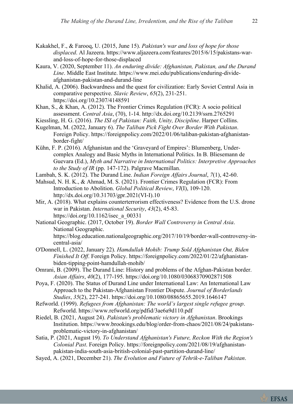- Kakakhel, F., & Farooq, U. (2015, June 15). *Pakistan's war and loss of hope for those displaced*. Al Jazeera. https://www.aljazeera.com/features/2015/6/15/pakistans-warand-loss-of-hope-for-those-displaced
- Kaura, V. (2020, September 11). *An enduring divide: Afghanistan, Pakistan, and the Durand Line*. Middle East Institute. https://www.mei.edu/publications/enduring-divideafghanistan-pakistan-and-durand-line
- Khalid, A. (2006). Backwardness and the quest for civilization: Early Soviet Central Asia in comparative perspective. *Slavic Review*, *65*(2), 231-251. https://doi.org/10.2307/4148591
- Khan, S., & Khan, A. (2012). The Frontier Crimes Regulation (FCR): A socio political assessment. *Central Asia*, (70), 1-14. http://dx.doi.org/10.2139/ssrn.2765291
- Kiessling, H. G. (2016). *The ISI of Pakistan: Faith, Unity, Discipline*. Harper Collins.
- Kugelman, M. (2022, January 6). *The Taliban Pick Fight Over Border With Pakistan*. Foreign Policy. https://foreignpolicy.com/2022/01/06/taliban-pakistan-afghanistanborder-fight/
- Kühn, F. P. (2016). Afghanistan and the 'Graveyard of Empires': Blumenberg, Undercomplex Analogy and Basic Myths in International Politics. In B. Bliesemann de Guevara (Ed.), *Myth and Narrative in International Politics: Interpretive Approaches to the Study of IR* (pp. 147-172). Palgrave Macmillan.
- Lambah, S. K. (2012). The Durand Line. *Indian Foreign Affairs Journal*, *7*(1), 42-60.
- Mahsud, N. H. K., & Ahmad, M. S. (2021). Frontier Crimes Regulation (FCR): From Introduction to Abolition. *Global Political Review*, *VI*(I), 109-120. http://dx.doi.org/10.31703/gpr.2021(VI-I).10
- Mir, A. (2018). What explains counterterrorism effectiveness? Evidence from the U.S. drone war in Pakistan. *International Security*, *43*(2), 45-83. https://doi.org/10.1162/isec\_a\_00331
- National Geographic. (2017, October 19). *Border Wall Controversy in Central Asia*. National Geographic. https://blog.education.nationalgeographic.org/2017/10/19/border-wall-controversy-in-
- central-asia/ O'Donnell, L. (2022, January 22). *Hamdullah Mohib: Trump Sold Afghanistan Out, Biden Finished It Off*. Foreign Policy. https://foreignpolicy.com/2022/01/22/afghanistanbiden-tipping-point-hamdullah-mohib/
- Omrani, B. (2009). The Durand Line: History and problems of the Afghan-Pakistan border. *Asian Affairs*, *40*(2), 177-195. https://doi.org/10.1080/03068370902871508
- Poya, F. (2020). The Status of Durand Line under International Law: An International Law Approach to the Pakistan-Afghanistan Frontier Dispute. *Journal of Borderlands Studies*, *35*(2), 227-241. https://doi.org/10.1080/08865655.2019.1646147
- Refworld. (1999). *Refugees from Afghanistan: The world's largest single refugee group*. Refworld. https://www.refworld.org/pdfid/3ae6a9d110.pdf
- Riedel, B. (2021, August 24). *Pakistan's problematic victory in Afghanistan*. Brookings Institution. https://www.brookings.edu/blog/order-from-chaos/2021/08/24/pakistansproblematic-victory-in-afghanistan/
- Satia, P. (2021, August 19). *To Understand Afghanistan's Future, Reckon With the Region's Colonial Past*. Foreign Policy. https://foreignpolicy.com/2021/08/19/afghanistanpakistan-india-south-asia-british-colonial-past-partition-durand-line/
- Sayed, A. (2021, December 21). *The Evolution and Future of Tehrik-e-Taliban Pakistan*.